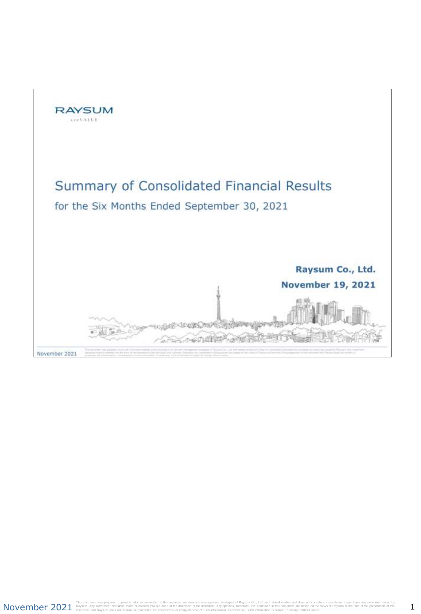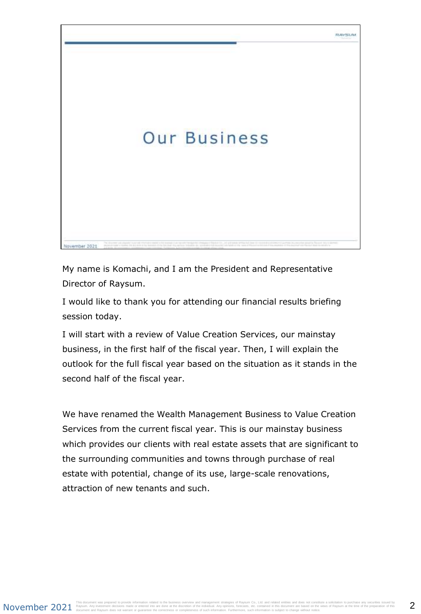

My name is Komachi, and I am the President and Representative Director of Raysum.

I would like to thank you for attending our financial results briefing session today.

I will start with a review of Value Creation Services, our mainstay business, in the first half of the fiscal year. Then, I will explain the outlook for the full fiscal year based on the situation as it stands in the second half of the fiscal year.

We have renamed the Wealth Management Business to Value Creation Services from the current fiscal year. This is our mainstay business which provides our clients with real estate assets that are significant to the surrounding communities and towns through purchase of real estate with potential, change of its use, large-scale renovations, attraction of new tenants and such.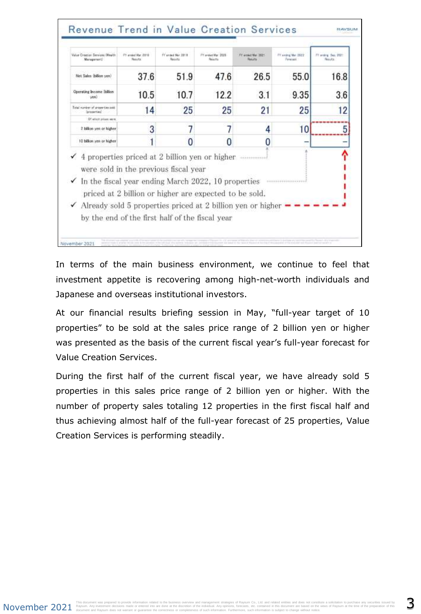| Value Creation Services (Wesldt<br>Management!                                                                                                                                                                                                       | FY available 2119<br><b>Baskutta</b>            | IV we said Mar. 2014<br><b>Fascults</b> | FY and at Mar. 2025<br>Results                         | FT armet Mar 2021<br><b>Total Park</b> | FY swing Mai 1922<br>Personald | I'll andre Ses 2021<br>Hawaich s. |
|------------------------------------------------------------------------------------------------------------------------------------------------------------------------------------------------------------------------------------------------------|-------------------------------------------------|-----------------------------------------|--------------------------------------------------------|----------------------------------------|--------------------------------|-----------------------------------|
| Net Sales (billion yon)                                                                                                                                                                                                                              | 37.6                                            | 51.9                                    | 47.6                                                   | 26.5                                   | 55.0                           | 16.8                              |
| Operating Income Ibilian<br>(detail)                                                                                                                                                                                                                 | 10.5                                            | 10.7                                    | 12.2                                                   | 3.1                                    | 9.35                           | 3.6                               |
| Total number of properties and<br>inconection!                                                                                                                                                                                                       | 14                                              | 25                                      | 25                                                     | 21                                     | 25                             | 12                                |
| Of which prices were                                                                                                                                                                                                                                 |                                                 |                                         |                                                        |                                        |                                |                                   |
| 2 billion yen or higher                                                                                                                                                                                                                              | 3                                               |                                         |                                                        | 4                                      | 10                             | 5                                 |
| 10 billion yen or higher                                                                                                                                                                                                                             |                                                 |                                         |                                                        |                                        |                                |                                   |
| $\checkmark$ 4 properties priced at 2 billion yen or higher<br>were sold in the previous fiscal year<br>$\checkmark$ In the fiscal year ending March 2022, 10 properties<br>$\checkmark$ Already sold 5 properties priced at 2 billion yen or higher | by the end of the first half of the fiscal year |                                         | priced at 2 billion or higher are expected to be sold. | 111101010101                           |                                |                                   |

In terms of the main business environment, we continue to feel that investment appetite is recovering among high-net-worth individuals and Japanese and overseas institutional investors.

At our financial results briefing session in May, "full-year target of 10 properties" to be sold at the sales price range of 2 billion yen or higher was presented as the basis of the current fiscal year's full-year forecast for Value Creation Services.

During the first half of the current fiscal year, we have already sold 5 properties in this sales price range of 2 billion yen or higher. With the number of property sales totaling 12 properties in the first fiscal half and thus achieving almost half of the full-year forecast of 25 properties, Value Creation Services is performing steadily.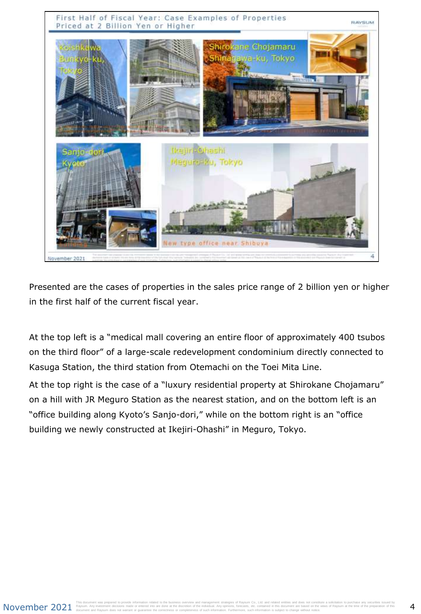

Presented are the cases of properties in the sales price range of 2 billion yen or higher in the first half of the current fiscal year.

At the top left is a "medical mall covering an entire floor of approximately 400 tsubos on the third floor" of a large-scale redevelopment condominium directly connected to Kasuga Station, the third station from Otemachi on the Toei Mita Line.

At the top right is the case of a "luxury residential property at Shirokane Chojamaru" on a hill with JR Meguro Station as the nearest station, and on the bottom left is an "office building along Kyoto's Sanjo-dori," while on the bottom right is an "office building we newly constructed at Ikejiri-Ohashi" in Meguro, Tokyo.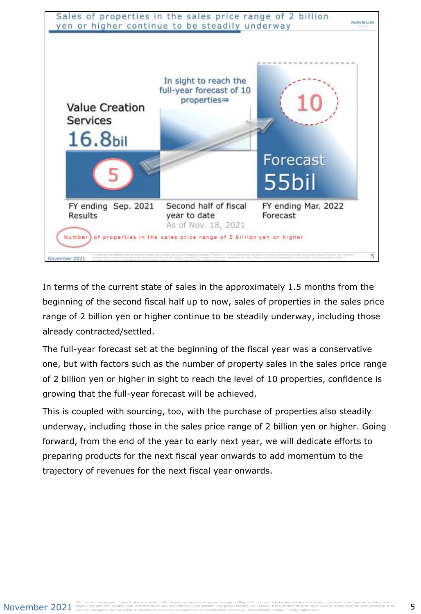

In terms of the current state of sales in the approximately 1.5 months from the beginning of the second fiscal half up to now, sales of properties in the sales price range of 2 billion yen or higher continue to be steadily underway, including those already contracted/settled.

The full-year forecast set at the beginning of the fiscal year was a conservative one, but with factors such as the number of property sales in the sales price range of 2 billion yen or higher in sight to reach the level of 10 properties, confidence is growing that the full-year forecast will be achieved.

This is coupled with sourcing, too, with the purchase of properties also steadily underway, including those in the sales price range of 2 billion yen or higher. Going forward, from the end of the year to early next year, we will dedicate efforts to preparing products for the next fiscal year onwards to add momentum to the trajectory of revenues for the next fiscal year onwards.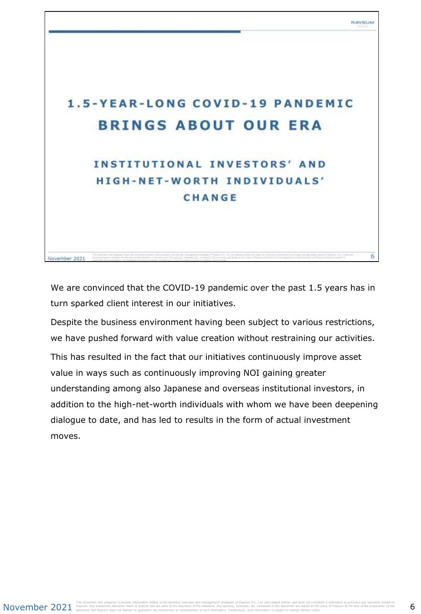6

## **1.5-YEAR-LONG COVID-19 PANDEMIC BRINGS ABOUT OUR ERA**

## **INSTITUTIONAL INVESTORS' AND** HIGH-NET-WORTH INDIVIDUALS' CHANGE

We are convinced that the COVID-19 pandemic over the past 1.5 years has in turn sparked client interest in our initiatives.

Despite the business environment having been subject to various restrictions, we have pushed forward with value creation without restraining our activities.

This has resulted in the fact that our initiatives continuously improve asset value in ways such as continuously improving NOI gaining greater understanding among also Japanese and overseas institutional investors, in addition to the high-net-worth individuals with whom we have been deepening dialogue to date, and has led to results in the form of actual investment moves.

November 2021

November 2021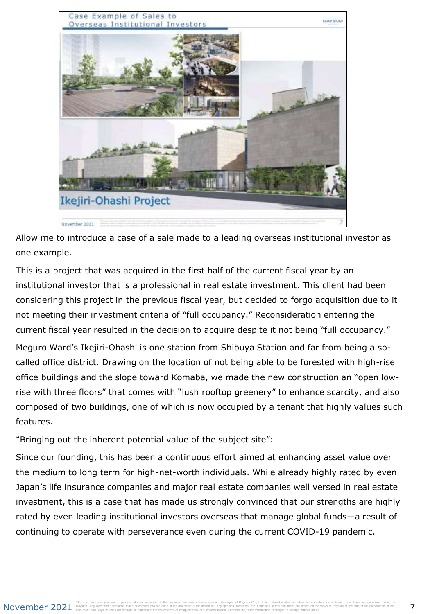

Allow me to introduce a case of a sale made to a leading overseas institutional investor as one example.

This is a project that was acquired in the first half of the current fiscal year by an institutional investor that is a professional in real estate investment. This client had been considering this project in the previous fiscal year, but decided to forgo acquisition due to it not meeting their investment criteria of "full occupancy." Reconsideration entering the current fiscal year resulted in the decision to acquire despite it not being "full occupancy." Meguro Ward's Ikejiri-Ohashi is one station from Shibuya Station and far from being a socalled office district. Drawing on the location of not being able to be forested with high-rise office buildings and the slope toward Komaba, we made the new construction an "open lowrise with three floors" that comes with "lush rooftop greenery" to enhance scarcity, and also composed of two buildings, one of which is now occupied by a tenant that highly values such features.

"Bringing out the inherent potential value of the subject site":

Since our founding, this has been a continuous effort aimed at enhancing asset value over the medium to long term for high-net-worth individuals. While already highly rated by even Japan's life insurance companies and major real estate companies well versed in real estate investment, this is a case that has made us strongly convinced that our strengths are highly rated by even leading institutional investors overseas that manage global funds―a result of continuing to operate with perseverance even during the current COVID-19 pandemic.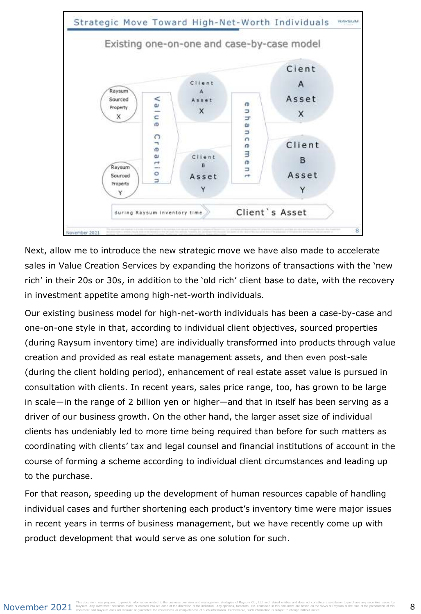

Next, allow me to introduce the new strategic move we have also made to accelerate sales in Value Creation Services by expanding the horizons of transactions with the 'new rich' in their 20s or 30s, in addition to the 'old rich' client base to date, with the recovery in investment appetite among high-net-worth individuals.

Our existing business model for high-net-worth individuals has been a case-by-case and one-on-one style in that, according to individual client objectives, sourced properties (during Raysum inventory time) are individually transformed into products through value creation and provided as real estate management assets, and then even post-sale (during the client holding period), enhancement of real estate asset value is pursued in consultation with clients. In recent years, sales price range, too, has grown to be large in scale―in the range of 2 billion yen or higher―and that in itself has been serving as a driver of our business growth. On the other hand, the larger asset size of individual clients has undeniably led to more time being required than before for such matters as coordinating with clients' tax and legal counsel and financial institutions of account in the course of forming a scheme according to individual client circumstances and leading up to the purchase.

For that reason, speeding up the development of human resources capable of handling individual cases and further shortening each product's inventory time were major issues in recent years in terms of business management, but we have recently come up with product development that would serve as one solution for such.

### November 2021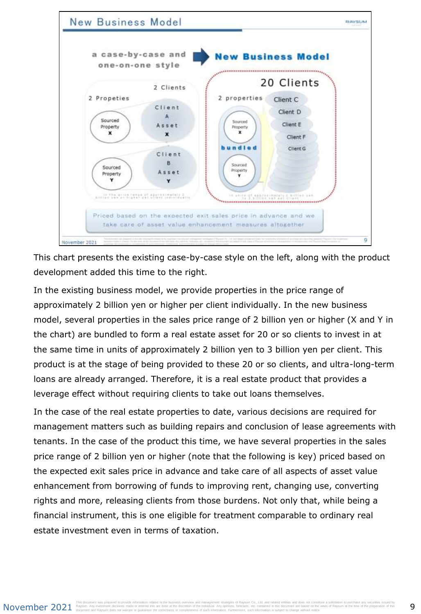

This chart presents the existing case-by-case style on the left, along with the product development added this time to the right.

In the existing business model, we provide properties in the price range of approximately 2 billion yen or higher per client individually. In the new business model, several properties in the sales price range of 2 billion yen or higher (X and Y in the chart) are bundled to form a real estate asset for 20 or so clients to invest in at the same time in units of approximately 2 billion yen to 3 billion yen per client. This product is at the stage of being provided to these 20 or so clients, and ultra-long-term loans are already arranged. Therefore, it is a real estate product that provides a leverage effect without requiring clients to take out loans themselves.

In the case of the real estate properties to date, various decisions are required for management matters such as building repairs and conclusion of lease agreements with tenants. In the case of the product this time, we have several properties in the sales price range of 2 billion yen or higher (note that the following is key) priced based on the expected exit sales price in advance and take care of all aspects of asset value enhancement from borrowing of funds to improving rent, changing use, converting rights and more, releasing clients from those burdens. Not only that, while being a financial instrument, this is one eligible for treatment comparable to ordinary real estate investment even in terms of taxation.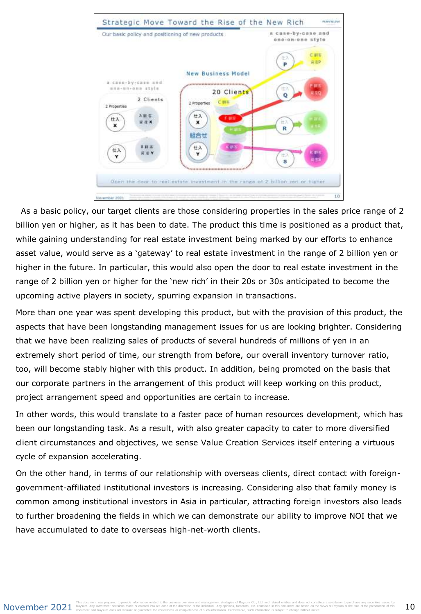

As a basic policy, our target clients are those considering properties in the sales price range of 2 billion yen or higher, as it has been to date. The product this time is positioned as a product that, while gaining understanding for real estate investment being marked by our efforts to enhance asset value, would serve as a 'gateway' to real estate investment in the range of 2 billion yen or higher in the future. In particular, this would also open the door to real estate investment in the range of 2 billion yen or higher for the 'new rich' in their 20s or 30s anticipated to become the upcoming active players in society, spurring expansion in transactions.

More than one year was spent developing this product, but with the provision of this product, the aspects that have been longstanding management issues for us are looking brighter. Considering that we have been realizing sales of products of several hundreds of millions of yen in an extremely short period of time, our strength from before, our overall inventory turnover ratio, too, will become stably higher with this product. In addition, being promoted on the basis that our corporate partners in the arrangement of this product will keep working on this product, project arrangement speed and opportunities are certain to increase.

In other words, this would translate to a faster pace of human resources development, which has been our longstanding task. As a result, with also greater capacity to cater to more diversified client circumstances and objectives, we sense Value Creation Services itself entering a virtuous cycle of expansion accelerating.

On the other hand, in terms of our relationship with overseas clients, direct contact with foreigngovernment-affiliated institutional investors is increasing. Considering also that family money is common among institutional investors in Asia in particular, attracting foreign investors also leads to further broadening the fields in which we can demonstrate our ability to improve NOI that we have accumulated to date to overseas high-net-worth clients.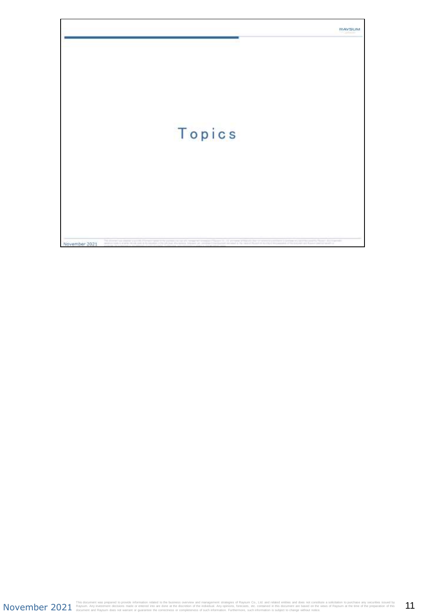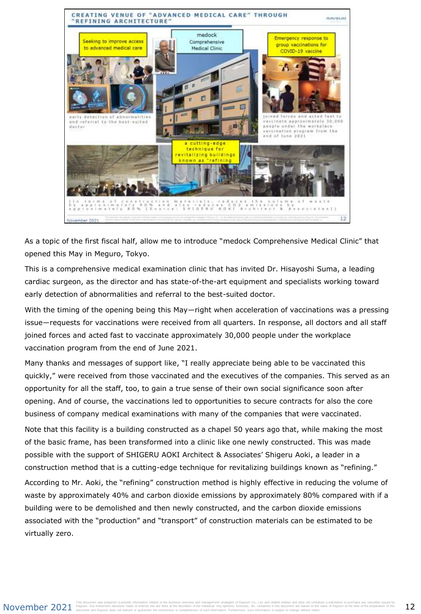

As a topic of the first fiscal half, allow me to introduce "medock Comprehensive Medical Clinic" that opened this May in Meguro, Tokyo.

This is a comprehensive medical examination clinic that has invited Dr. Hisayoshi Suma, a leading cardiac surgeon, as the director and has state-of-the-art equipment and specialists working toward early detection of abnormalities and referral to the best-suited doctor.

With the timing of the opening being this May—right when acceleration of vaccinations was a pressing issue―requests for vaccinations were received from all quarters. In response, all doctors and all staff joined forces and acted fast to vaccinate approximately 30,000 people under the workplace vaccination program from the end of June 2021.

Many thanks and messages of support like, "I really appreciate being able to be vaccinated this quickly," were received from those vaccinated and the executives of the companies. This served as an opportunity for all the staff, too, to gain a true sense of their own social significance soon after opening. And of course, the vaccinations led to opportunities to secure contracts for also the core business of company medical examinations with many of the companies that were vaccinated.

Note that this facility is a building constructed as a chapel 50 years ago that, while making the most of the basic frame, has been transformed into a clinic like one newly constructed. This was made possible with the support of SHIGERU AOKI Architect & Associates' Shigeru Aoki, a leader in a construction method that is a cutting-edge technique for revitalizing buildings known as "refining."

According to Mr. Aoki, the "refining" construction method is highly effective in reducing the volume of waste by approximately 40% and carbon dioxide emissions by approximately 80% compared with if a building were to be demolished and then newly constructed, and the carbon dioxide emissions associated with the "production" and "transport" of construction materials can be estimated to be virtually zero.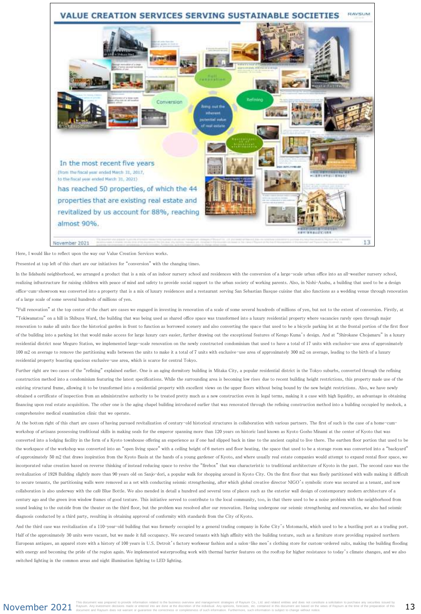

Here, I would like to reflect upon the way our Value Creation Services works.

Presented at top left of this chart are our initiatives for "conversion" with the changing times.

In the Iidabashi neighborhood, we arranged a product that is a mix of an indoor nursery school and residences with the conversion of a large-scale urban office into an all-weather nursery school. realizing infrastructure for raising children with peace of mind and safety to provide social support to the urban society of working parents. Also, in Nishi-Azabu, a building that used to be a design office-cum-showroom was converted into a property that is a mix of luxury residences and a restaurant serving San Sebastian Basque cuisine that also functions as a wedding venue through renovation of a large scale of some several hundreds of millions of yen.

"Full renovation" at the top center of the chart are cases we engaged in investing in renovation of a scale of some several hundreds of millions of yen, but not to the extent of conversion. Firstly, at "Tokiwamatsu" on a hill in Shibuya Ward, the building that was being used as shared office space was transformed into a luxury residential property where vacancies rarely open through major renovation to make all units face the historical garden in front to function as borrowed scenery and also converting the space that used to be a bicycle parking lot at the frontal portion of the first floor of the building into a parking lot that would make access for large luxury cars easier, further drawing out the exceptional features of Kengo Kuma's design. And at "Shirokane Chojamaru" in a luxury residential district near Meguro Station, we implemented large-scale renovation on the newly constructed condominium that used to have a total of 17 units with exclusive-use area of approximately 100 m2 on average to remove the partitioning walls between the units to make it a total of 7 units with exclusive-use area of approximately 300 m2 on average, leading to the birth of a luxury residential property boasting spacious exclusive-use area, which is scarce for central Tokyo.

Further right are two cases of the "refining" explained earlier. One is an aging dormitory building in Mitaka City, a popular residential district in the Tokyo suburbs, converted through the refining construction method into a condominium featuring the latest specifications. While the surrounding area is becoming low rises due to recent building height restrictions, this property made use of the existing structural frame, allowing it to be transformed into a residential property with excellent views on the upper floors without being bound by the new height restrictions. Also, we have newly obtained a certificate of inspection from an administrative authority to be treated pretty much as a new construction even in legal terms, making it a case with high liquidity, an advantage in obtaining financing upon real estate acquisition. The other one is the aging chapel building introduced earlier that was renovated through the refining construction method into a building occupied by medock, a comprehensive medical examination clinic that we operate.

At the bottom right of this chart are cases of having pursued revitalization of century-old historical structures in collaboration with various partners. The first of such is the case of a home-cumworkshop of artisans possessing traditional skills in making seals for the emperor spanning more than 120 years on historic land known as Kyoto Gosho Minami at the center of Kyoto that was converted into a lodging facility in the form of a Kyoto townhouse offering an experience as if one had slipped back in time to the ancient capital to live there. The earthen floor portion that used to be the workspace of the workshop was converted into an "open living space" with a ceiling height of 6 meters and floor heating, the space that used to be a storage room was converted into a "backyard" of approximately 50 m2 that draws inspiration from the Kyoto Basin at the hands of a young gardener of Kyoto, and where usually real estate companies would attempt to expand rental floor space, we incorporated value creation based on reverse thinking of instead reducing space to revive the "firebox" that was characteristic to traditional architecture of Kyoto in the past. The second case was the revitalization of 1928 Building slightly more than 90 years old on Sanjo-dori, a popular walk for shopping around in Kyoto City. On the first floor that was finely partitioned with walls making it difficult to secure tenants, the partitioning walls were removed as a set with conducting seismic strengthening, after which global creative director NIGO's symbolic store was secured as a tenant, and now collaboration is also underway with the café Blue Bottle. We also mended in detail a hundred and several tens of places such as the exterior wall design of contemporary modern architecture of a century ago and the green iron window frames of good texture. This initiative served to contribute to the local community, too, in that there used to be a noise problem with the neighborhood from sound leaking to the outside from the theater on the third floor, but the problem was resolved after our renovation. Having undergone our seismic strengthening and renovation, we also had seismic diagnosis conducted by a third party, resulting in obtaining approval of conformity with standards from the City of Kyoto.

And the third case was revitalization of a 110-year-old building that was formerly occupied by a general trading company in Kobe City's Motomachi, which used to be a bustling port as a trading port. Half of the approximately 30 units were vacant, but we made it full occupancy. We secured tenants with high affinity with the building texture, such as a furniture store providing repaired northern European antiques, an apparel store with a history of 100 years in U.S. Detroit's factory workwear fashion and a salon-like men's clothing store for custom-ordered suits, making the building flooding with energy and becoming the pride of the region again. We implemented waterproofing work with thermal barrier features on the rooftop for higher resistance to today's climate changes, and we also switched lighting in the common areas and night illumination lighting to LED lighting.

November 2021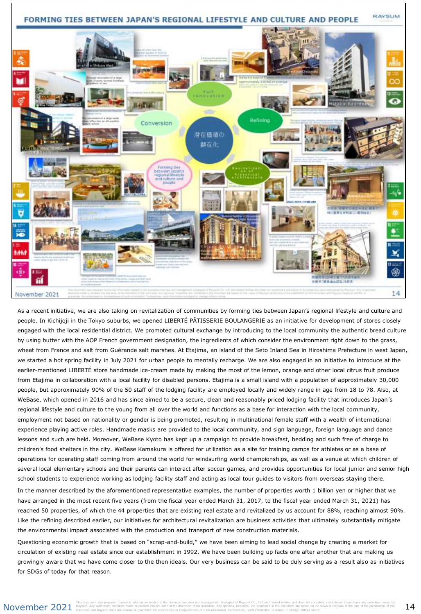

As a recent initiative, we are also taking on revitalization of communities by forming ties between Japan's regional lifestyle and culture and people. In Kichijoji in the Tokyo suburbs, we opened LIBERTÉ PÂTISSERIE BOULANGERIE as an initiative for development of stores closely engaged with the local residential district. We promoted cultural exchange by introducing to the local community the authentic bread culture by using butter with the AOP French government designation, the ingredients of which consider the environment right down to the grass, wheat from France and salt from Guérande salt marshes. At Etajima, an island of the Seto Inland Sea in Hiroshima Prefecture in west Japan, we started a hot spring facility in July 2021 for urban people to mentally recharge. We are also engaged in an initiative to introduce at the earlier-mentioned LIBERTÉ store handmade ice-cream made by making the most of the lemon, orange and other local citrus fruit produce from Etajima in collaboration with a local facility for disabled persons. Etajima is a small island with a population of approximately 30,000 people, but approximately 90% of the 50 staff of the lodging facility are employed locally and widely range in age from 18 to 78. Also, at WeBase, which opened in 2016 and has since aimed to be a secure, clean and reasonably priced lodging facility that introduces Japan's regional lifestyle and culture to the young from all over the world and functions as a base for interaction with the local community, employment not based on nationality or gender is being promoted, resulting in multinational female staff with a wealth of international experience playing active roles. Handmade masks are provided to the local community, and sign language, foreign language and dance lessons and such are held. Moreover, WeBase Kyoto has kept up a campaign to provide breakfast, bedding and such free of charge to children's food shelters in the city. WeBase Kamakura is offered for utilization as a site for training camps for athletes or as a base of operations for operating staff coming from around the world for windsurfing world championships, as well as a venue at which children of several local elementary schools and their parents can interact after soccer games, and provides opportunities for local junior and senior high school students to experience working as lodging facility staff and acting as local tour guides to visitors from overseas staying there.

In the manner described by the aforementioned representative examples, the number of properties worth 1 billion yen or higher that we have arranged in the most recent five years (from the fiscal year ended March 31, 2017, to the fiscal year ended March 31, 2021) has reached 50 properties, of which the 44 properties that are existing real estate and revitalized by us account for 88%, reaching almost 90%. Like the refining described earlier, our initiatives for architectural revitalization are business activities that ultimately substantially mitigate the environmental impact associated with the production and transport of new construction materials.

Questioning economic growth that is based on "scrap-and-build," we have been aiming to lead social change by creating a market for circulation of existing real estate since our establishment in 1992. We have been building up facts one after another that are making us growingly aware that we have come closer to the then ideals. Our very business can be said to be duly serving as a result also as initiatives for SDGs of today for that reason.

### November 2021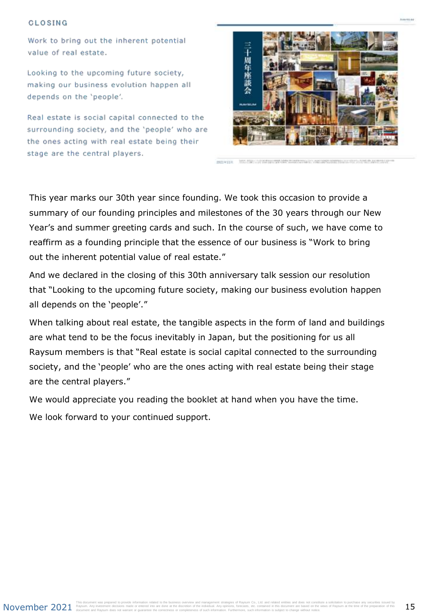#### CLOSING

Work to bring out the inherent potential value of real estate.

Looking to the upcoming future society, making our business evolution happen all depends on the 'people'.

Real estate is social capital connected to the surrounding society, and the 'people' who are the ones acting with real estate being their stage are the central players.



mixiik

This year marks our 30th year since founding. We took this occasion to provide a summary of our founding principles and milestones of the 30 years through our New Year's and summer greeting cards and such. In the course of such, we have come to reaffirm as a founding principle that the essence of our business is "Work to bring out the inherent potential value of real estate."

And we declared in the closing of this 30th anniversary talk session our resolution that "Looking to the upcoming future society, making our business evolution happen all depends on the 'people'."

When talking about real estate, the tangible aspects in the form of land and buildings are what tend to be the focus inevitably in Japan, but the positioning for us all Raysum members is that "Real estate is social capital connected to the surrounding society, and the 'people' who are the ones acting with real estate being their stage are the central players."

We would appreciate you reading the booklet at hand when you have the time.

We look forward to your continued support.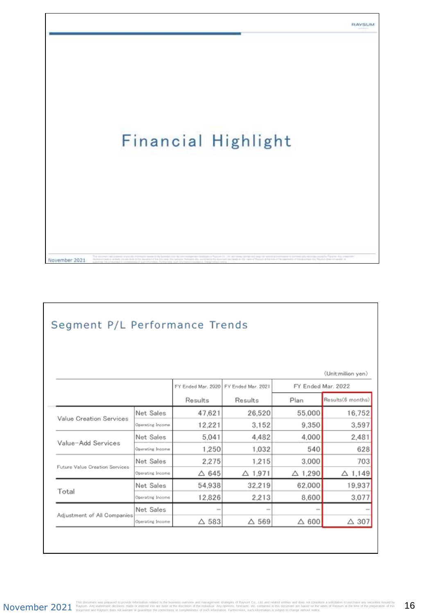And to the

# **Financial Highlight**

### Segment P/L Performance Trends

November 2021

|                                |                  |                                          |                   |                   | (Unit:million yen) |
|--------------------------------|------------------|------------------------------------------|-------------------|-------------------|--------------------|
|                                |                  | FY Ended Mar. 2020<br>FY Ended Mar. 2021 |                   |                   | FY Ended Mar. 2022 |
|                                |                  | Results                                  | Results           | Plan              | Results(6 months)  |
| Value Creation Services        | Net Sales        | 47,621                                   | 26,520            | 55,000            | 16,752             |
|                                | Operating Income | 12,221                                   | 3.152             | 9,350             | 3,597              |
|                                | Net Sales        | 5.041                                    | 4.482             | 4,000             | 2,481              |
| Value-Add Services             | Operating Income | 1,250                                    | 1,032             | 540               | 628                |
|                                | Net Sales        | 2.275                                    | 1,215             | 3.000             | 703                |
| Future Value Creation Services | Operating Income | $\triangle$ 645                          | $\triangle$ 1,971 | $\triangle$ 1,290 | $\triangle$ 1,149  |
|                                | Net Sales        | 54,938                                   | 32,219            | 62,000            | 19,937             |
| Total                          | Operating Income | 12,826                                   | 2.213             | 8,600             | 3,077              |
| Adjustment of All Companies    | Net Sales        | $\sim$                                   | $\sim$            | $\sim$            |                    |
|                                | Operating Income | $\triangle$ 583                          | $\triangle$ 569   | $\triangle$ 600   | $\triangle$ 307    |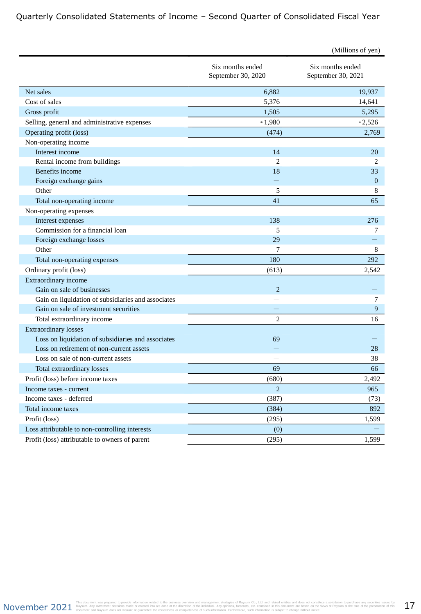### Quarterly Consolidated Statements of Income – Second Quarter of Consolidated Fiscal Year

|                                                    |                                        | (Millions of yen)                      |
|----------------------------------------------------|----------------------------------------|----------------------------------------|
|                                                    | Six months ended<br>September 30, 2020 | Six months ended<br>September 30, 2021 |
| Net sales                                          | 6,882                                  | 19,937                                 |
| Cost of sales                                      | 5,376                                  | 14,641                                 |
| Gross profit                                       | 1,505                                  | 5,295                                  |
| Selling, general and administrative expenses       | $*1,980$                               | $*2,526$                               |
| Operating profit (loss)                            | (474)                                  | 2,769                                  |
| Non-operating income                               |                                        |                                        |
| Interest income                                    | 14                                     | 20                                     |
| Rental income from buildings                       | $\overline{c}$                         | 2                                      |
| Benefits income                                    | 18                                     | 33                                     |
| Foreign exchange gains                             |                                        | $\mathbf{0}$                           |
| Other                                              | 5                                      | 8                                      |
| Total non-operating income                         | 41                                     | 65                                     |
| Non-operating expenses                             |                                        |                                        |
| Interest expenses                                  | 138                                    | 276                                    |
| Commission for a financial loan                    | 5                                      | 7                                      |
| Foreign exchange losses                            | 29                                     |                                        |
| Other                                              | 7                                      | 8                                      |
| Total non-operating expenses                       | 180                                    | 292                                    |
| Ordinary profit (loss)                             | (613)                                  | 2,542                                  |
| Extraordinary income                               |                                        |                                        |
| Gain on sale of businesses                         | 2                                      |                                        |
| Gain on liquidation of subsidiaries and associates |                                        | 7                                      |
| Gain on sale of investment securities              |                                        | 9                                      |
| Total extraordinary income                         | $\overline{2}$                         | 16                                     |
| <b>Extraordinary losses</b>                        |                                        |                                        |
| Loss on liquidation of subsidiaries and associates | 69                                     |                                        |
| Loss on retirement of non-current assets           |                                        | 28                                     |
| Loss on sale of non-current assets                 |                                        | 38                                     |
| Total extraordinary losses                         | 69                                     | 66                                     |
| Profit (loss) before income taxes                  | (680)                                  | 2,492                                  |
| Income taxes - current                             | $\overline{2}$                         | 965                                    |
| Income taxes - deferred                            | (387)                                  | (73)                                   |
| Total income taxes                                 | (384)                                  | 892                                    |
| Profit (loss)                                      | (295)                                  | 1,599                                  |
| Loss attributable to non-controlling interests     | (0)                                    |                                        |
| Profit (loss) attributable to owners of parent     | (295)                                  | 1,599                                  |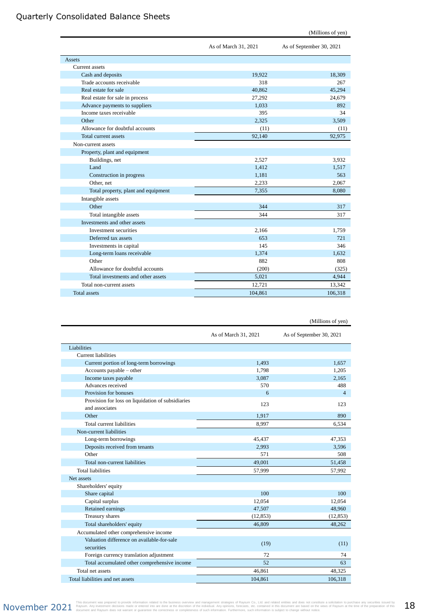### Quarterly Consolidated Balance Sheets

| (Millions of yen) |  |
|-------------------|--|
|-------------------|--|

|                                     | As of March 31, 2021 | As of September 30, 2021 |
|-------------------------------------|----------------------|--------------------------|
| Assets                              |                      |                          |
| Current assets                      |                      |                          |
| Cash and deposits                   | 19,922               | 18,309                   |
| Trade accounts receivable           | 318                  | 267                      |
| Real estate for sale                | 40.862               | 45.294                   |
| Real estate for sale in process     | 27,292               | 24,679                   |
| Advance payments to suppliers       | 1.033                | 892                      |
| Income taxes receivable             | 395                  | 34                       |
| Other                               | 2,325                | 3,509                    |
| Allowance for doubtful accounts     | (11)                 | (11)                     |
| <b>Total current assets</b>         | 92,140               | 92,975                   |
| Non-current assets                  |                      |                          |
| Property, plant and equipment       |                      |                          |
| Buildings, net                      | 2,527                | 3,932                    |
| Land                                | 1,412                | 1,517                    |
| Construction in progress            | 1,181                | 563                      |
| Other, net                          | 2,233                | 2.067                    |
| Total property, plant and equipment | 7,355                | 8,080                    |
| Intangible assets                   |                      |                          |
| Other                               | 344                  | 317                      |
| Total intangible assets             | 344                  | 317                      |
| Investments and other assets        |                      |                          |
| Investment securities               | 2,166                | 1,759                    |
| Deferred tax assets                 | 653                  | 721                      |
| Investments in capital              | 145                  | 346                      |
| Long-term loans receivable          | 1,374                | 1,632                    |
| Other                               | 882                  | 808                      |
| Allowance for doubtful accounts     | (200)                | (325)                    |
| Total investments and other assets  | 5.021                | 4,944                    |
| Total non-current assets            | 12,721               | 13,342                   |
| <b>Total</b> assets                 | 104.861              | 106.318                  |

|                                                                     |                      | (Millions of yen)        |
|---------------------------------------------------------------------|----------------------|--------------------------|
|                                                                     | As of March 31, 2021 | As of September 30, 2021 |
| Liabilities                                                         |                      |                          |
| <b>Current liabilities</b>                                          |                      |                          |
| Current portion of long-term borrowings                             | 1,493                | 1,657                    |
| Accounts payable – other                                            | 1,798                | 1,205                    |
| Income taxes payable                                                | 3.087                | 2.165                    |
| Advances received                                                   | 570                  | 488                      |
| Provision for bonuses                                               | 6                    | $\overline{4}$           |
| Provision for loss on liquidation of subsidiaries<br>and associates | 123                  | 123                      |
| Other                                                               | 1,917                | 890                      |
| Total current liabilities                                           | 8,997                | 6,534                    |
| Non-current liabilities                                             |                      |                          |
| Long-term borrowings                                                | 45,437               | 47,353                   |
| Deposits received from tenants                                      | 2,993                | 3,596                    |
| Other                                                               | 571                  | 508                      |
| Total non-current liabilities                                       | 49.001               | 51,458                   |
| <b>Total liabilities</b>                                            | 57,999               | 57,992                   |
| Net assets                                                          |                      |                          |
| Shareholders' equity                                                |                      |                          |
| Share capital                                                       | 100                  | 100                      |
| Capital surplus                                                     | 12,054               | 12,054                   |
| Retained earnings                                                   | 47,507               | 48,960                   |
| Treasury shares                                                     | (12, 853)            | (12, 853)                |
| Total shareholders' equity                                          | 46,809               | 48,262                   |
| Accumulated other comprehensive income                              |                      |                          |
| Valuation difference on available-for-sale<br>securities            | (19)                 | (11)                     |
| Foreign currency translation adjustment                             | 72                   | 74                       |
| Total accumulated other comprehensive income                        | 52                   | 63                       |
| Total net assets                                                    | 46,861               | 48,325                   |
| Total liabilities and net assets                                    | 104.861              | 106,318                  |

 $\mathsf{NOV}$  and the countert was prepared to provide information related to the business overview and management strategies of Raysum Co., Ltd. and related entities and does not constitute a solicitation to purchase any sec